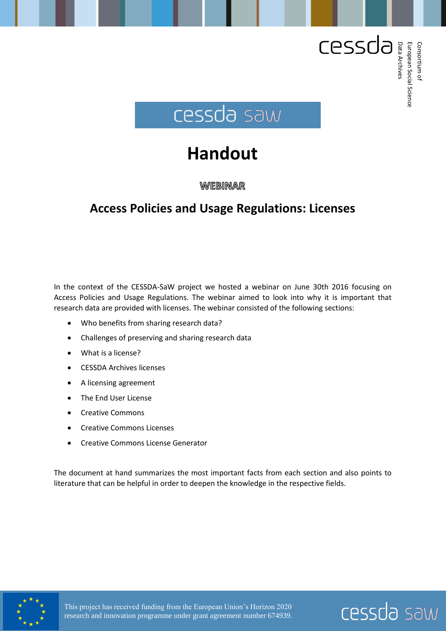

# **Handout**

WEBINAR

# **Access Policies and Usage Regulations: Licenses**

In the context of the CESSDA-SaW project we hosted a webinar on June 30th 2016 focusing on Access Policies and Usage Regulations. The webinar aimed to look into why it is important that research data are provided with licenses. The webinar consisted of the following sections:

- Who benefits from sharing research data?
- Challenges of preserving and sharing research data
- What is a license?
- CESSDA Archives licenses
- A licensing agreement
- The End User License
- Creative Commons
- Creative Commons Licenses
- Creative Commons License Generator

The document at hand summarizes the most important facts from each section and also points to literature that can be helpful in order to deepen the knowledge in the respective fields.





Consortium Consortium of European

Social

Data

Archives

Science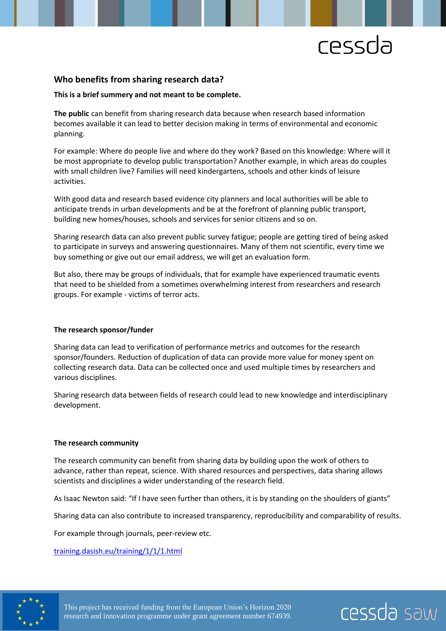cessda saw

# **Who benefits from sharing research data?**

#### **This is a brief summery and not meant to be complete.**

**The public** can benefit from sharing research data because when research based information becomes available it can lead to better decision making in terms of environmental and economic planning.

For example: Where do people live and where do they work? Based on this knowledge: Where will it be most appropriate to develop public transportation? Another example, in which areas do couples with small children live? Families will need kindergartens, schools and other kinds of leisure activities.

With good data and research based evidence city planners and local authorities will be able to anticipate trends in urban developments and be at the forefront of planning public transport, building new homes/houses, schools and services for senior citizens and so on.

Sharing research data can also prevent public survey fatigue; people are getting tired of being asked to participate in surveys and answering questionnaires. Many of them not scientific, every time we buy something or give out our email address, we will get an evaluation form.

But also, there may be groups of individuals, that for example have experienced traumatic events that need to be shielded from a sometimes overwhelming interest from researchers and research groups. For example - victims of terror acts.

#### **The research sponsor/funder**

Sharing data can lead to verification of performance metrics and outcomes for the research sponsor/founders. Reduction of duplication of data can provide more value for money spent on collecting research data. Data can be collected once and used multiple times by researchers and various disciplines.

Sharing research data between fields of research could lead to new knowledge and interdisciplinary development.

#### **The research community**

The research community can benefit from sharing data by building upon the work of others to advance, rather than repeat, science. With shared resources and perspectives, data sharing allows scientists and disciplines a wider understanding of the research field.

As Isaac Newton said: "If I have seen further than others, it is by standing on the shoulders of giants"

Sharing data can also contribute to increased transparency, reproducibility and comparability of results.

For example through journals, peer-review etc.

[training.dasish.eu/training/1/1/1.html](http://training.dasish.eu/training/1/1/1.html)

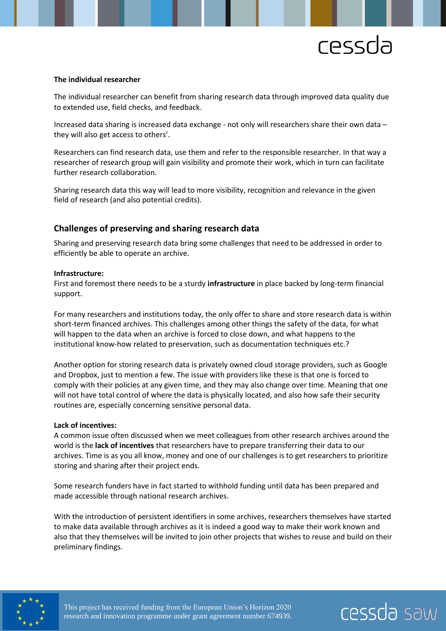cessda saw

#### **The individual researcher**

The individual researcher can benefit from sharing research data through improved data quality due to extended use, field checks, and feedback.

Increased data sharing is increased data exchange - not only will researchers share their own data – they will also get access to others'.

Researchers can find research data, use them and refer to the responsible researcher. In that way a researcher of research group will gain visibility and promote their work, which in turn can facilitate further research collaboration.

Sharing research data this way will lead to more visibility, recognition and relevance in the given field of research (and also potential credits).

### **Challenges of preserving and sharing research data**

Sharing and preserving research data bring some challenges that need to be addressed in order to efficiently be able to operate an archive.

#### **Infrastructure:**

First and foremost there needs to be a sturdy **infrastructure** in place backed by long-term financial support.

For many researchers and institutions today, the only offer to share and store research data is within short-term financed archives. This challenges among other things the safety of the data, for what will happen to the data when an archive is forced to close down, and what happens to the institutional know-how related to preservation, such as documentation techniques etc.?

Another option for storing research data is privately owned cloud storage providers, such as Google and Dropbox, just to mention a few. The issue with providers like these is that one is forced to comply with their policies at any given time, and they may also change over time. Meaning that one will not have total control of where the data is physically located, and also how safe their security routines are, especially concerning sensitive personal data.

#### **Lack of incentives:**

A common issue often discussed when we meet colleagues from other research archives around the world is the **lack of incentives** that researchers have to prepare transferring their data to our archives. Time is as you all know, money and one of our challenges is to get researchers to prioritize storing and sharing after their project ends.

Some research funders have in fact started to withhold funding until data has been prepared and made accessible through national research archives.

With the introduction of persistent identifiers in some archives, researchers themselves have started to make data available through archives as it is indeed a good way to make their work known and also that they themselves will be invited to join other projects that wishes to reuse and build on their preliminary findings.

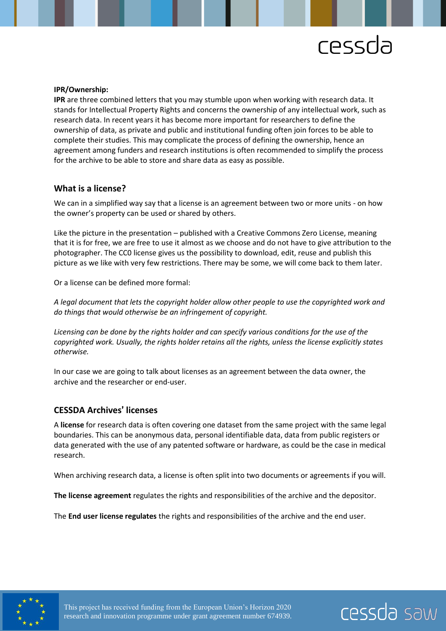cessda saw

#### **IPR/Ownership:**

**IPR** are three combined letters that you may stumble upon when working with research data. It stands for Intellectual Property Rights and concerns the ownership of any intellectual work, such as research data. In recent years it has become more important for researchers to define the ownership of data, as private and public and institutional funding often join forces to be able to complete their studies. This may complicate the process of defining the ownership, hence an agreement among funders and research institutions is often recommended to simplify the process for the archive to be able to store and share data as easy as possible.

#### **What is a license?**

We can in a simplified way say that a license is an agreement between two or more units - on how the owner's property can be used or shared by others.

Like the picture in the presentation – published with a Creative Commons Zero License, meaning that it is for free, we are free to use it almost as we choose and do not have to give attribution to the photographer. The CC0 license gives us the possibility to download, edit, reuse and publish this picture as we like with very few restrictions. There may be some, we will come back to them later.

Or a license can be defined more formal:

*A legal document that lets the copyright holder allow other people to use the copyrighted work and do things that would otherwise be an infringement of copyright.* 

*Licensing can be done by the rights holder and can specify various conditions for the use of the copyrighted work. Usually, the rights holder retains all the rights, unless the license explicitly states otherwise.*

In our case we are going to talk about licenses as an agreement between the data owner, the archive and the researcher or end-user.

# **CESSDA Archives**' **licenses**

A **license** for research data is often covering one dataset from the same project with the same legal boundaries. This can be anonymous data, personal identifiable data, data from public registers or data generated with the use of any patented software or hardware, as could be the case in medical research.

When archiving research data, a license is often split into two documents or agreements if you will.

**The license agreement** regulates the rights and responsibilities of the archive and the depositor.

The **End user license regulates** the rights and responsibilities of the archive and the end user.

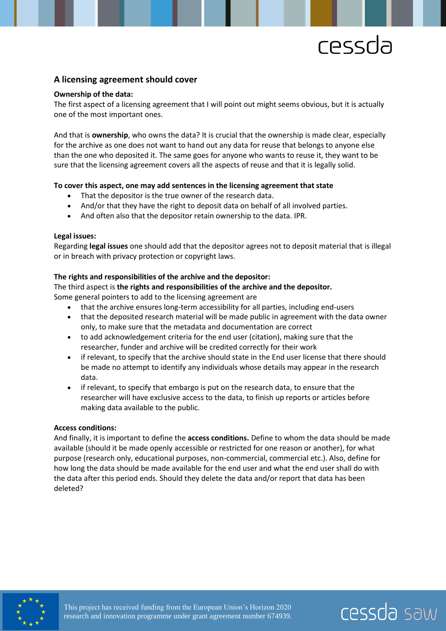cessda saw

### **A licensing agreement should cover**

#### **Ownership of the data:**

The first aspect of a licensing agreement that I will point out might seems obvious, but it is actually one of the most important ones.

And that is **ownership**, who owns the data? It is crucial that the ownership is made clear, especially for the archive as one does not want to hand out any data for reuse that belongs to anyone else than the one who deposited it. The same goes for anyone who wants to reuse it, they want to be sure that the licensing agreement covers all the aspects of reuse and that it is legally solid.

#### **To cover this aspect, one may add sentences in the licensing agreement that state**

- That the depositor is the true owner of the research data.
- And/or that they have the right to deposit data on behalf of all involved parties.
- And often also that the depositor retain ownership to the data. IPR.

#### **Legal issues:**

Regarding **legal issues** one should add that the depositor agrees not to deposit material that is illegal or in breach with privacy protection or copyright laws.

#### **The rights and responsibilities of the archive and the depositor:**

The third aspect is **the rights and responsibilities of the archive and the depositor.** 

Some general pointers to add to the licensing agreement are

- that the archive ensures long-term accessibility for all parties, including end-users
- that the deposited research material will be made public in agreement with the data owner only, to make sure that the metadata and documentation are correct
- to add acknowledgement criteria for the end user (citation), making sure that the researcher, funder and archive will be credited correctly for their work
- if relevant, to specify that the archive should state in the End user license that there should be made no attempt to identify any individuals whose details may appear in the research data.
- if relevant, to specify that embargo is put on the research data, to ensure that the researcher will have exclusive access to the data, to finish up reports or articles before making data available to the public.

#### **Access conditions:**

And finally, it is important to define the **access conditions.** Define to whom the data should be made available (should it be made openly accessible or restricted for one reason or another), for what purpose (research only, educational purposes, non-commercial, commercial etc.). Also, define for how long the data should be made available for the end user and what the end user shall do with the data after this period ends. Should they delete the data and/or report that data has been deleted?

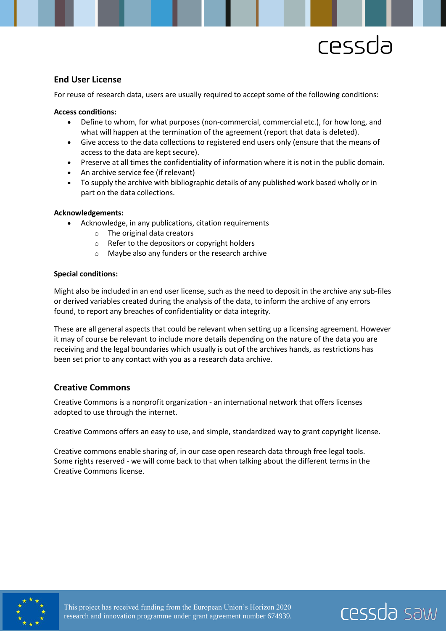cessda saw

# **End User License**

For reuse of research data, users are usually required to accept some of the following conditions:

#### **Access conditions:**

- Define to whom, for what purposes (non-commercial, commercial etc.), for how long, and what will happen at the termination of the agreement (report that data is deleted).
- Give access to the data collections to registered end users only (ensure that the means of access to the data are kept secure).
- Preserve at all times the confidentiality of information where it is not in the public domain.
- An archive service fee (if relevant)
- To supply the archive with bibliographic details of any published work based wholly or in part on the data collections.

#### **Acknowledgements:**

- Acknowledge, in any publications, citation requirements
	- o The original data creators
	- o Refer to the depositors or copyright holders
	- o Maybe also any funders or the research archive

#### **Special conditions:**

Might also be included in an end user license, such as the need to deposit in the archive any sub-files or derived variables created during the analysis of the data, to inform the archive of any errors found, to report any breaches of confidentiality or data integrity.

These are all general aspects that could be relevant when setting up a licensing agreement. However it may of course be relevant to include more details depending on the nature of the data you are receiving and the legal boundaries which usually is out of the archives hands, as restrictions has been set prior to any contact with you as a research data archive.

### **Creative Commons**

Creative Commons is a nonprofit organization - an international network that offers licenses adopted to use through the internet.

Creative Commons offers an easy to use, and simple, standardized way to grant copyright license.

Creative commons enable sharing of, in our case open research data through free legal tools. Some rights reserved - we will come back to that when talking about the different terms in the Creative Commons license.

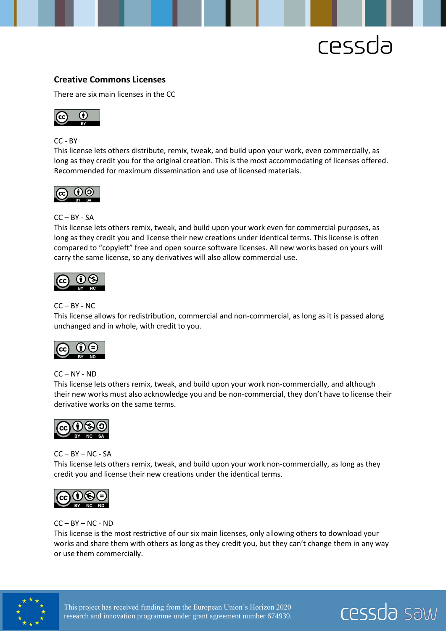

# **Creative Commons Licenses**

There are six main licenses in the CC



CC - BY

This license lets others distribute, remix, tweak, and build upon your work, even commercially, as long as they credit you for the original creation. This is the most accommodating of licenses offered. Recommended for maximum dissemination and use of licensed materials.



#### CC – BY - SA

This license lets others remix, tweak, and build upon your work even for commercial purposes, as long as they credit you and license their new creations under identical terms. This license is often compared to "copyleft" free and open source software licenses. All new works based on yours will carry the same license, so any derivatives will also allow commercial use.



#### $CC - BY - NC$

This license allows for redistribution, commercial and non-commercial, as long as it is passed along unchanged and in whole, with credit to you.



 $CC - NY - ND$ 

This license lets others remix, tweak, and build upon your work non-commercially, and although their new works must also acknowledge you and be non-commercial, they don't have to license their derivative works on the same terms.



#### $CC - BY - NC - SA$

This license lets others remix, tweak, and build upon your work non-commercially, as long as they credit you and license their new creations under the identical terms.



### $CC - BY - NC - ND$

This license is the most restrictive of our six main licenses, only allowing others to download your works and share them with others as long as they credit you, but they can't change them in any way or use them commercially.



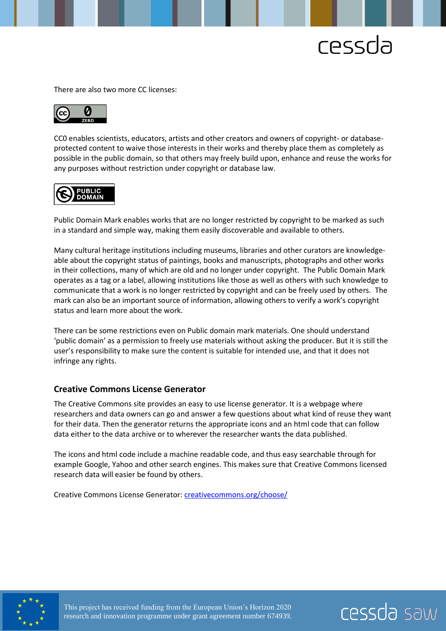

There are also two more CC licenses:



CC0 enables scientists, educators, artists and other creators and owners of copyright- or databaseprotected content to waive those interests in their works and thereby place them as completely as possible in the public domain, so that others may freely build upon, enhance and reuse the works for any purposes without restriction under copyright or database law.



Public Domain Mark enables works that are no longer restricted by copyright to be marked as such in a standard and simple way, making them easily discoverable and available to others.

Many cultural heritage institutions including museums, libraries and other curators are knowledgeable about the copyright status of paintings, books and manuscripts, photographs and other works in their collections, many of which are old and no longer under copyright. The Public Domain Mark operates as a tag or a label, allowing institutions like those as well as others with such knowledge to communicate that a work is no longer restricted by copyright and can be freely used by others. The mark can also be an important source of information, allowing others to verify a work's copyright status and learn more about the work.

There can be some restrictions even on Public domain mark materials. One should understand 'public domain' as a permission to freely use materials without asking the producer. But it is still the user's responsibility to make sure the content is suitable for intended use, and that it does not infringe any rights.

#### **Creative Commons License Generator**

The Creative Commons site provides an easy to use license generator. It is a webpage where researchers and data owners can go and answer a few questions about what kind of reuse they want for their data. Then the generator returns the appropriate icons and an html code that can follow data either to the data archive or to wherever the researcher wants the data published.

The icons and html code include a machine readable code, and thus easy searchable through for example Google, Yahoo and other search engines. This makes sure that Creative Commons licensed research data will easier be found by others.

Creative Commons License Generator: *[creativecommons.org/choose/](https://creativecommons.org/choose/)*